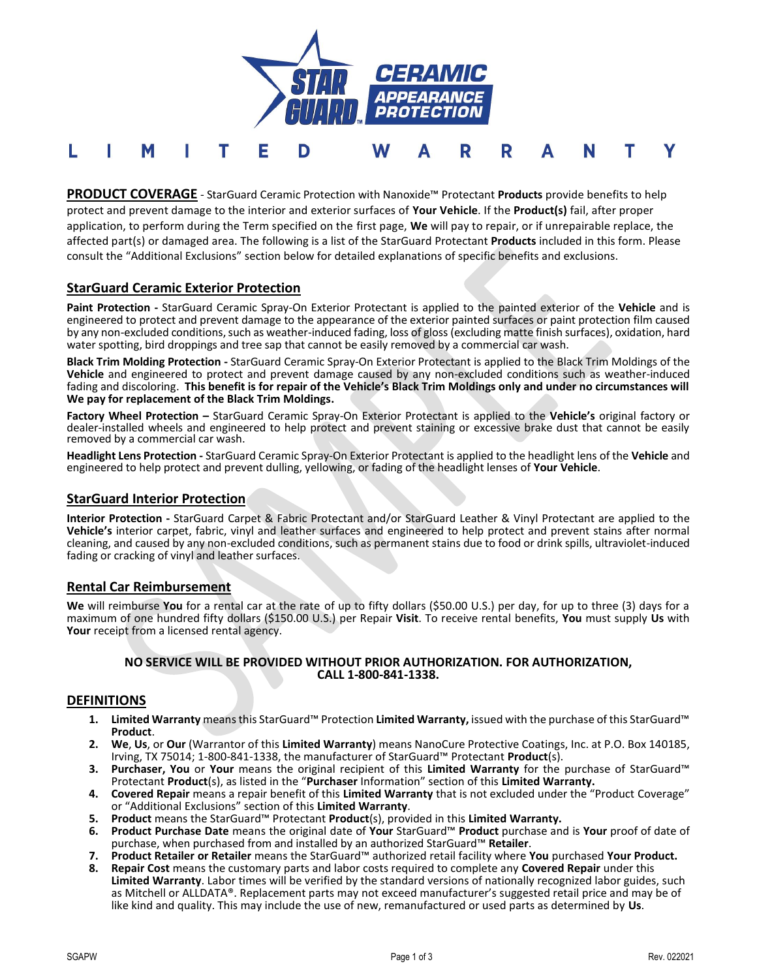

**PRODUCT COVERAGE** - StarGuard Ceramic Protection with Nanoxide™ Protectant **Products** provide benefits to help protect and prevent damage to the interior and exterior surfaces of **Your Vehicle**. If the **Product(s)** fail, after proper application, to perform during the Term specified on the first page, **We** will pay to repair, or if unrepairable replace, the affected part(s) or damaged area. The following is a list of the StarGuard Protectant **Products** included in this form. Please consult the "Additional Exclusions" section below for detailed explanations of specific benefits and exclusions.

# **StarGuard Ceramic Exterior Protection**

L

**Paint Protection -** StarGuard Ceramic Spray-On Exterior Protectant is applied to the painted exterior of the **Vehicle** and is engineered to protect and prevent damage to the appearance of the exterior painted surfaces or paint protection film caused by any non-excluded conditions, such as weather-induced fading, loss of gloss (excluding matte finish surfaces), oxidation, hard water spotting, bird droppings and tree sap that cannot be easily removed by a commercial car wash.

**Black Trim Molding Protection -** StarGuard Ceramic Spray-On Exterior Protectant is applied to the Black Trim Moldings of the **Vehicle** and engineered to protect and prevent damage caused by any non-excluded conditions such as weather-induced fading and discoloring. **This benefit is for repair of the Vehicle's Black Trim Moldings only and under no circumstances will We pay for replacement of the Black Trim Moldings.**

**Factory Wheel Protection –** StarGuard Ceramic Spray-On Exterior Protectant is applied to the **Vehicle's** original factory or dealer-installed wheels and engineered to help protect and prevent staining or excessive brake dust that cannot be easily removed by a commercial car wash.

**Headlight Lens Protection -** StarGuard Ceramic Spray-On Exterior Protectant is applied to the headlight lens of the **Vehicle** and engineered to help protect and prevent dulling, yellowing, or fading of the headlight lenses of **Your Vehicle**.

## **StarGuard Interior Protection**

**Interior Protection -** StarGuard Carpet & Fabric Protectant and/or StarGuard Leather & Vinyl Protectant are applied to the **Vehicle's** interior carpet, fabric, vinyl and leather surfaces and engineered to help protect and prevent stains after normal cleaning, and caused by any non-excluded conditions, such as permanent stains due to food or drink spills, ultraviolet-induced fading or cracking of vinyl and leather surfaces.

## **Rental Car Reimbursement**

**We** will reimburse **You** for a rental car at the rate of up to fifty dollars (\$50.00 U.S.) per day, for up to three (3) days for a maximum of one hundred fifty dollars (\$150.00 U.S.) per Repair **Visit**. To receive rental benefits, **You** must supply **Us** with **Your** receipt from a licensed rental agency.

#### **NO SERVICE WILL BE PROVIDED WITHOUT PRIOR AUTHORIZATION. FOR AUTHORIZATION, CALL 1-800-841-1338.**

## **DEFINITIONS**

- **1. Limited Warranty** means this StarGuard™ Protection **Limited Warranty,** issued with the purchase of this StarGuard™ **Product**.
- **2. We**, **Us**, or **Our** (Warrantor of this **Limited Warranty**) means NanoCure Protective Coatings, Inc. at P.O. Box 140185, Irving, TX 75014; 1-800-841-1338, the manufacturer of StarGuard™ Protectant **Product**(s).
- **3. Purchaser, You** or **Your** means the original recipient of this **Limited Warranty** for the purchase of StarGuard™ Protectant **Product**(s), as listed in the "**Purchaser** Information" section of this **Limited Warranty.**
- **4. Covered Repair** means a repair benefit of this **Limited Warranty** that is not excluded under the "Product Coverage" or "Additional Exclusions" section of this **Limited Warranty**.
- **5. Product** means the StarGuard™ Protectant **Product**(s), provided in this **Limited Warranty.**
- **6. Product Purchase Date** means the original date of **Your** StarGuard™ **Product** purchase and is **Your** proof of date of purchase, when purchased from and installed by an authorized StarGuard™ **Retailer**.
- **7. Product Retailer or Retailer** means the StarGuard™ authorized retail facility where **You** purchased **Your Product.**
- **8. Repair Cost** means the customary parts and labor costs required to complete any **Covered Repair** under this **Limited Warranty**. Labor times will be verified by the standard versions of nationally recognized labor guides, such as Mitchell or ALLDATA®. Replacement parts may not exceed manufacturer's suggested retail price and may be of like kind and quality. This may include the use of new, remanufactured or used parts as determined by **Us**.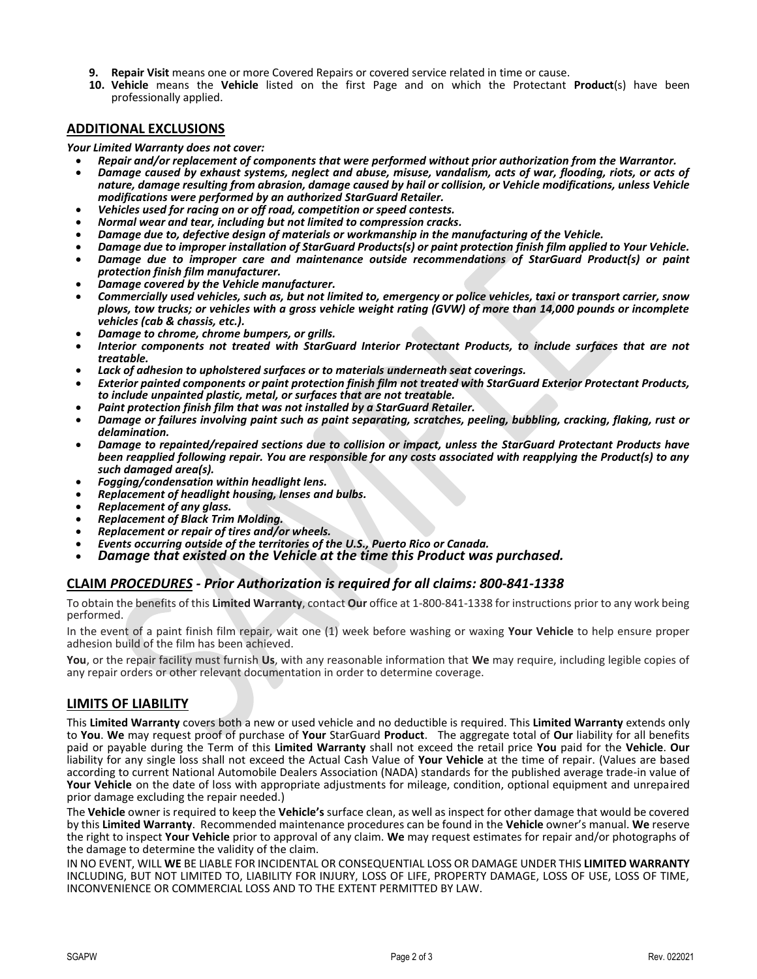- **9. Repair Visit** means one or more Covered Repairs or covered service related in time or cause.
- **10. Vehicle** means the **Vehicle** listed on the first Page and on which the Protectant **Product**(s) have been professionally applied.

## **ADDITIONAL EXCLUSIONS**

#### *Your Limited Warranty does not cover:*

- *Repair and/or replacement of components that were performed without prior authorization from the Warrantor.*
- *Damage caused by exhaust systems, neglect and abuse, misuse, vandalism, acts of war, flooding, riots, or acts of nature, damage resulting from abrasion, damage caused by hail or collision, or Vehicle modifications, unless Vehicle modifications were performed by an authorized StarGuard Retailer.*
- *Vehicles used for racing on or off road, competition or speed contests.*
- *Normal wear and tear, including but not limited to compression cracks.*
- *Damage due to, defective design of materials or workmanship in the manufacturing of the Vehicle.*
- *Damage due to improper installation of StarGuard Products(s) or paint protection finish film applied to Your Vehicle.*
- *Damage due to improper care and maintenance outside recommendations of StarGuard Product(s) or paint protection finish film manufacturer.*
- *Damage covered by the Vehicle manufacturer.*
- *Commercially used vehicles, such as, but not limited to, emergency or police vehicles, taxi or transport carrier, snow plows, tow trucks; or vehicles with a gross vehicle weight rating (GVW) of more than 14,000 pounds or incomplete vehicles (cab & chassis, etc.).*
- *Damage to chrome, chrome bumpers, or grills.*
- *Interior components not treated with StarGuard Interior Protectant Products, to include surfaces that are not treatable.*
- *Lack of adhesion to upholstered surfaces or to materials underneath seat coverings.*
- *Exterior painted components or paint protection finish film not treated with StarGuard Exterior Protectant Products, to include unpainted plastic, metal, or surfaces that are not treatable.*
- *Paint protection finish film that was not installed by a StarGuard Retailer.*
- *Damage or failures involving paint such as paint separating, scratches, peeling, bubbling, cracking, flaking, rust or delamination.*
- *Damage to repainted/repaired sections due to collision or impact, unless the StarGuard Protectant Products have been reapplied following repair. You are responsible for any costs associated with reapplying the Product(s) to any such damaged area(s).*
- *Fogging/condensation within headlight lens.*
- *Replacement of headlight housing, lenses and bulbs.*
- *Replacement of any glass.*
- *Replacement of Black Trim Molding.*
- *Replacement or repair of tires and/or wheels.*
- *Events occurring outside of the territories of the U.S., Puerto Rico or Canada.*
- *Damage that existed on the Vehicle at the time this Product was purchased.*

## **CLAIM** *PROCEDURES - Prior Authorization is required for all claims: 800-841-1338*

To obtain the benefits of this **Limited Warranty**, contact **Our** office at 1-800-841-1338 for instructions prior to any work being performed.

In the event of a paint finish film repair, wait one (1) week before washing or waxing **Your Vehicle** to help ensure proper adhesion build of the film has been achieved.

**You**, or the repair facility must furnish **Us**, with any reasonable information that **We** may require, including legible copies of any repair orders or other relevant documentation in order to determine coverage.

## **LIMITS OF LIABILITY**

This **Limited Warranty** covers both a new or used vehicle and no deductible is required. This **Limited Warranty** extends only to **You**. **We** may request proof of purchase of **Your** StarGuard **Product**. The aggregate total of **Our** liability for all benefits paid or payable during the Term of this **Limited Warranty** shall not exceed the retail price **You** paid for the **Vehicle**. **Our** liability for any single loss shall not exceed the Actual Cash Value of **Your Vehicle** at the time of repair. (Values are based according to current National Automobile Dealers Association (NADA) standards for the published average trade-in value of **Your Vehicle** on the date of loss with appropriate adjustments for mileage, condition, optional equipment and unrepaired prior damage excluding the repair needed.)

The **Vehicle** owner is required to keep the **Vehicle's** surface clean, as well as inspect for other damage that would be covered by this **Limited Warranty**. Recommended maintenance procedures can be found in the **Vehicle** owner's manual. **We** reserve the right to inspect **Your Vehicle** prior to approval of any claim. **We** may request estimates for repair and/or photographs of the damage to determine the validity of the claim.

IN NO EVENT, WILL **WE** BE LIABLE FOR INCIDENTAL OR CONSEQUENTIAL LOSS OR DAMAGE UNDER THIS **LIMITED WARRANTY** INCLUDING, BUT NOT LIMITED TO, LIABILITY FOR INJURY, LOSS OF LIFE, PROPERTY DAMAGE, LOSS OF USE, LOSS OF TIME, INCONVENIENCE OR COMMERCIAL LOSS AND TO THE EXTENT PERMITTED BY LAW.